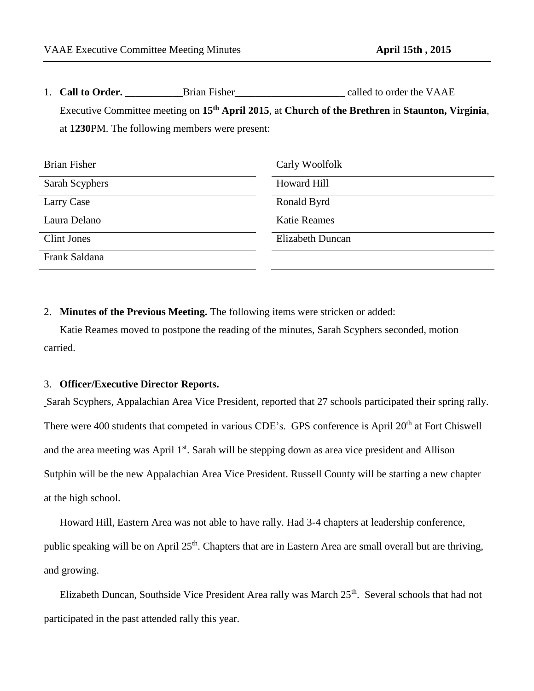1. **Call to Order. Call to Order. Example 1. Called to order the VAAE** Executive Committee meeting on **15th April 2015**, at **Church of the Brethren** in **Staunton, Virginia**, at **1230**PM. The following members were present:

| <b>Brian Fisher</b> | Carly Woolfolk          |
|---------------------|-------------------------|
| Sarah Scyphers      | <b>Howard Hill</b>      |
| Larry Case          | Ronald Byrd             |
| Laura Delano        | <b>Katie Reames</b>     |
| Clint Jones         | <b>Elizabeth Duncan</b> |
| Frank Saldana       |                         |

2. **Minutes of the Previous Meeting.** The following items were stricken or added:

Katie Reames moved to postpone the reading of the minutes, Sarah Scyphers seconded, motion carried.

## 3. **Officer/Executive Director Reports.**

Sarah Scyphers, Appalachian Area Vice President, reported that 27 schools participated their spring rally. There were 400 students that competed in various CDE's. GPS conference is April 20<sup>th</sup> at Fort Chiswell and the area meeting was April 1<sup>st</sup>. Sarah will be stepping down as area vice president and Allison Sutphin will be the new Appalachian Area Vice President. Russell County will be starting a new chapter at the high school.

Howard Hill, Eastern Area was not able to have rally. Had 3-4 chapters at leadership conference, public speaking will be on April 25<sup>th</sup>. Chapters that are in Eastern Area are small overall but are thriving, and growing.

Elizabeth Duncan, Southside Vice President Area rally was March 25<sup>th</sup>. Several schools that had not participated in the past attended rally this year.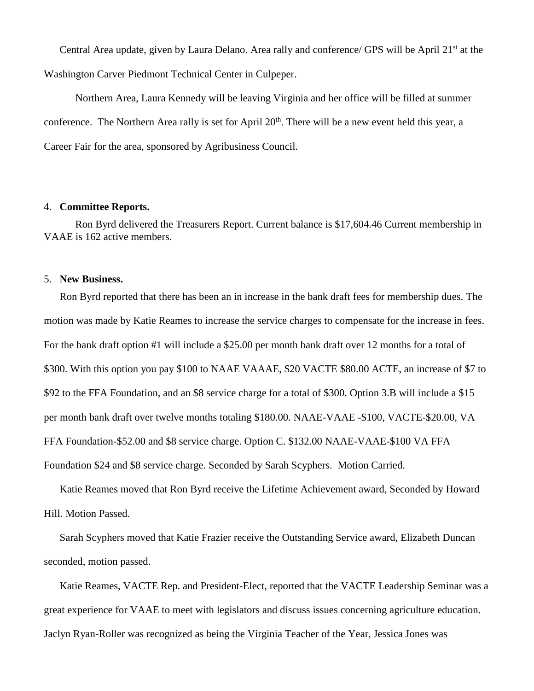Central Area update, given by Laura Delano. Area rally and conference/ GPS will be April 21<sup>st</sup> at the Washington Carver Piedmont Technical Center in Culpeper.

Northern Area, Laura Kennedy will be leaving Virginia and her office will be filled at summer conference. The Northern Area rally is set for April 20<sup>th</sup>. There will be a new event held this year, a Career Fair for the area, sponsored by Agribusiness Council.

## 4. **Committee Reports.**

Ron Byrd delivered the Treasurers Report. Current balance is \$17,604.46 Current membership in VAAE is 162 active members.

## 5. **New Business.**

Ron Byrd reported that there has been an in increase in the bank draft fees for membership dues. The motion was made by Katie Reames to increase the service charges to compensate for the increase in fees. For the bank draft option #1 will include a \$25.00 per month bank draft over 12 months for a total of \$300. With this option you pay \$100 to NAAE VAAAE, \$20 VACTE \$80.00 ACTE, an increase of \$7 to \$92 to the FFA Foundation, and an \$8 service charge for a total of \$300. Option 3.B will include a \$15 per month bank draft over twelve months totaling \$180.00. NAAE-VAAE -\$100, VACTE-\$20.00, VA FFA Foundation-\$52.00 and \$8 service charge. Option C. \$132.00 NAAE-VAAE-\$100 VA FFA Foundation \$24 and \$8 service charge. Seconded by Sarah Scyphers. Motion Carried.

Katie Reames moved that Ron Byrd receive the Lifetime Achievement award, Seconded by Howard Hill. Motion Passed.

Sarah Scyphers moved that Katie Frazier receive the Outstanding Service award, Elizabeth Duncan seconded, motion passed.

Katie Reames, VACTE Rep. and President-Elect, reported that the VACTE Leadership Seminar was a great experience for VAAE to meet with legislators and discuss issues concerning agriculture education. Jaclyn Ryan-Roller was recognized as being the Virginia Teacher of the Year, Jessica Jones was